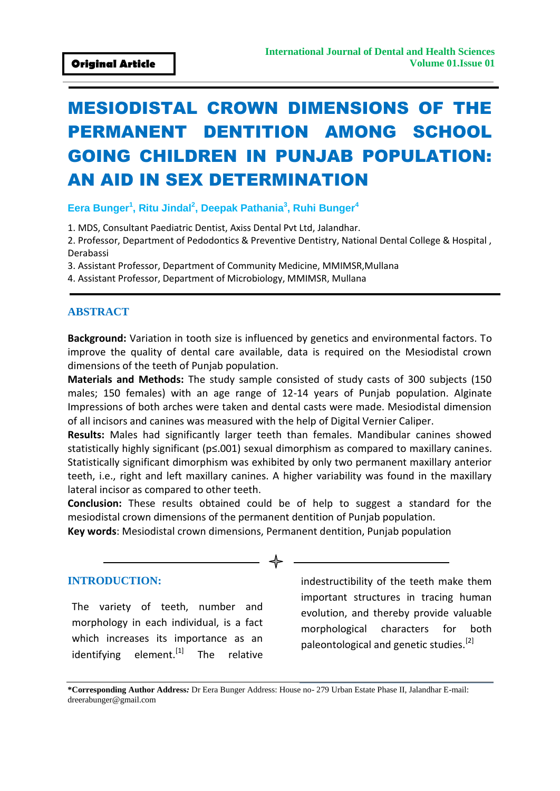# MESIODISTAL CROWN DIMENSIONS OF THE PERMANENT DENTITION AMONG SCHOOL GOING CHILDREN IN PUNJAB POPULATION: AN AID IN SEX DETERMINATION

## **Eera Bunger<sup>1</sup> , Ritu Jindal<sup>2</sup> , Deepak Pathania<sup>3</sup> , Ruhi Bunger<sup>4</sup>**

1. MDS, Consultant Paediatric Dentist, Axiss Dental Pvt Ltd, Jalandhar.

2. Professor, Department of Pedodontics & Preventive Dentistry, National Dental College & Hospital , Derabassi

3. Assistant Professor, Department of Community Medicine, MMIMSR,Mullana

4. Assistant Professor, Department of Microbiology, MMIMSR, Mullana

### **ABSTRACT**

**Background:** Variation in tooth size is influenced by genetics and environmental factors. To improve the quality of dental care available, data is required on the Mesiodistal crown dimensions of the teeth of Punjab population.

**Materials and Methods:** The study sample consisted of study casts of 300 subjects (150 males; 150 females) with an age range of 12-14 years of Punjab population. Alginate Impressions of both arches were taken and dental casts were made. Mesiodistal dimension of all incisors and canines was measured with the help of Digital Vernier Caliper.

**Results:** Males had significantly larger teeth than females. Mandibular canines showed statistically highly significant (p≤.001) sexual dimorphism as compared to maxillary canines. Statistically significant dimorphism was exhibited by only two permanent maxillary anterior teeth, i.e., right and left maxillary canines. A higher variability was found in the maxillary lateral incisor as compared to other teeth.

**Conclusion:** These results obtained could be of help to suggest a standard for the mesiodistal crown dimensions of the permanent dentition of Punjab population.

**Key words**: Mesiodistal crown dimensions, Permanent dentition, Punjab population

## **INTRODUCTION:**

The variety of teeth, number and morphology in each individual, is a fact which increases its importance as an identifying element. $^{[1]}$  The relative

indestructibility of the teeth make them important structures in tracing human evolution, and thereby provide valuable morphological characters for both paleontological and genetic studies.<sup>[2]</sup>

**\*Corresponding Author Address***:* Dr Eera Bunger Address: House no- 279 Urban Estate Phase II, Jalandhar E-mail: dreerabunger@gmail.com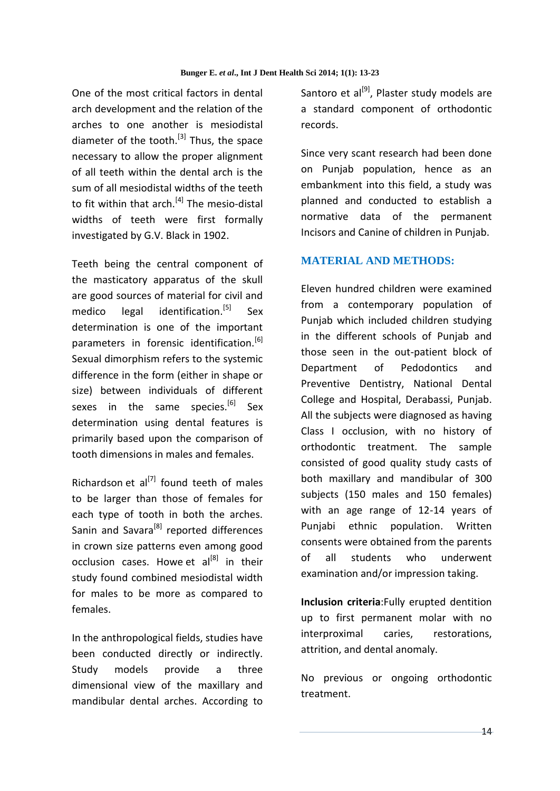One of the most critical factors in dental arch development and the relation of the arches to one another is mesiodistal diameter of the tooth. $^{[3]}$  Thus, the space necessary to allow the proper alignment of all teeth within the dental arch is the sum of all mesiodistal widths of the teeth to fit within that arch. $^{[4]}$  The mesio-distal widths of teeth were first formally investigated by G.V. Black in 1902.

Teeth being the central component of the masticatory apparatus of the skull are good sources of material for civil and medico legal identification.<sup>[5]</sup> Sex determination is one of the important parameters in forensic identification.<sup>[6]</sup> Sexual dimorphism refers to the systemic difference in the form (either in shape or size) between individuals of different sexes in the same species.<sup>[6]</sup> Sex determination using dental features is primarily based upon the comparison of tooth dimensions in males and females.

Richardson et  $al^{[7]}$  found teeth of males to be larger than those of females for each type of tooth in both the arches. Sanin and Savara<sup>[8]</sup> reported differences in crown size patterns even among good occlusion cases. Howe et  $al^{[8]}$  in their study found combined mesiodistal width for males to be more as compared to females.

In the anthropological fields, studies have been conducted directly or indirectly. Study models provide a three dimensional view of the maxillary and mandibular dental arches. According to

Santoro et al $^{[9]}$ . Plaster study models are a standard component of orthodontic records.

Since very scant research had been done on Punjab population, hence as an embankment into this field, a study was planned and conducted to establish a normative data of the permanent Incisors and Canine of children in Punjab.

## **MATERIAL AND METHODS:**

Eleven hundred children were examined from a contemporary population of Punjab which included children studying in the different schools of Punjab and those seen in the out-patient block of Department of Pedodontics and Preventive Dentistry, National Dental College and Hospital, Derabassi, Punjab. All the subjects were diagnosed as having Class I occlusion, with no history of orthodontic treatment. The sample consisted of good quality study casts of both maxillary and mandibular of 300 subjects (150 males and 150 females) with an age range of 12-14 years of Punjabi ethnic population. Written consents were obtained from the parents of all students who underwent examination and/or impression taking.

**Inclusion criteria**:Fully erupted dentition up to first permanent molar with no interproximal caries, restorations, attrition, and dental anomaly.

No previous or ongoing orthodontic treatment.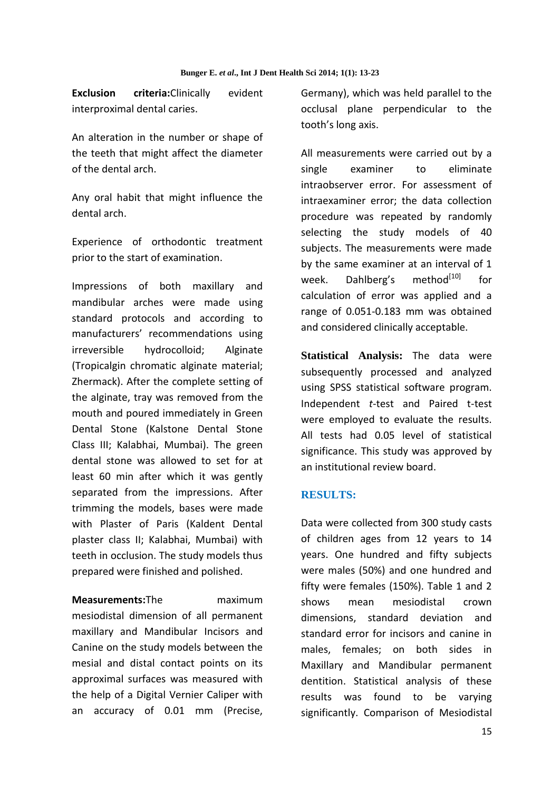**Exclusion criteria:**Clinically evident interproximal dental caries.

An alteration in the number or shape of the teeth that might affect the diameter of the dental arch.

Any oral habit that might influence the dental arch.

Experience of orthodontic treatment prior to the start of examination.

Impressions of both maxillary and mandibular arches were made using standard protocols and according to manufacturers' recommendations using irreversible hydrocolloid; Alginate (Tropicalgin chromatic alginate material; Zhermack). After the complete setting of the alginate, tray was removed from the mouth and poured immediately in Green Dental Stone (Kalstone Dental Stone Class III; Kalabhai, Mumbai). The green dental stone was allowed to set for at least 60 min after which it was gently separated from the impressions. After trimming the models, bases were made with Plaster of Paris (Kaldent Dental plaster class II; Kalabhai, Mumbai) with teeth in occlusion. The study models thus prepared were finished and polished.

**Measurements:**The maximum mesiodistal dimension of all permanent maxillary and Mandibular Incisors and Canine on the study models between the mesial and distal contact points on its approximal surfaces was measured with the help of a Digital Vernier Caliper with an accuracy of 0.01 mm (Precise, Germany), which was held parallel to the occlusal plane perpendicular to the tooth's long axis.

All measurements were carried out by a single examiner to eliminate intraobserver error. For assessment of intraexaminer error; the data collection procedure was repeated by randomly selecting the study models of 40 subjects. The measurements were made by the same examiner at an interval of 1 week. Dahlberg's method $^{[10]}$  for calculation of error was applied and a range of 0.051-0.183 mm was obtained and considered clinically acceptable.

**Statistical Analysis:** The data were subsequently processed and analyzed using SPSS statistical software program. Independent *t*-test and Paired t-test were employed to evaluate the results. All tests had 0.05 level of statistical significance. This study was approved by an institutional review board.

#### **RESULTS:**

Data were collected from 300 study casts of children ages from 12 years to 14 years. One hundred and fifty subjects were males (50%) and one hundred and fifty were females (150%). Table 1 and 2 shows mean mesiodistal crown dimensions, standard deviation and standard error for incisors and canine in males, females; on both sides in Maxillary and Mandibular permanent dentition. Statistical analysis of these results was found to be varying significantly. Comparison of Mesiodistal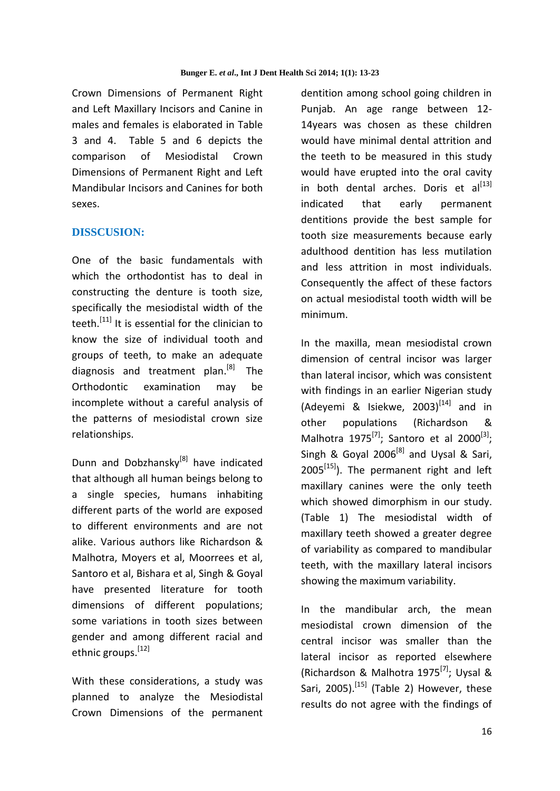Crown Dimensions of Permanent Right and Left Maxillary Incisors and Canine in males and females is elaborated in Table 3 and 4. Table 5 and 6 depicts the comparison of Mesiodistal Crown Dimensions of Permanent Right and Left Mandibular Incisors and Canines for both sexes.

## **DISSCUSION:**

One of the basic fundamentals with which the orthodontist has to deal in constructing the denture is tooth size, specifically the mesiodistal width of the teeth.<sup>[11]</sup> It is essential for the clinician to know the size of individual tooth and groups of teeth, to make an adequate diagnosis and treatment plan.<sup>[8]</sup> The Orthodontic examination may be incomplete without a careful analysis of the patterns of mesiodistal crown size relationships.

Dunn and Dobzhansky<sup>[8]</sup> have indicated that although all human beings belong to a single species, humans inhabiting different parts of the world are exposed to different environments and are not alike. Various authors like Richardson & Malhotra, Moyers et al, Moorrees et al, Santoro et al, Bishara et al, Singh & Goyal have presented literature for tooth dimensions of different populations; some variations in tooth sizes between gender and among different racial and ethnic groups.<sup>[12]</sup>

With these considerations, a study was planned to analyze the Mesiodistal Crown Dimensions of the permanent dentition among school going children in Punjab. An age range between 12- 14years was chosen as these children would have minimal dental attrition and the teeth to be measured in this study would have erupted into the oral cavity in both dental arches. Doris et al $^{[13]}$ indicated that early permanent dentitions provide the best sample for tooth size measurements because early adulthood dentition has less mutilation and less attrition in most individuals. Consequently the affect of these factors on actual mesiodistal tooth width will be minimum.

In the maxilla, mean mesiodistal crown dimension of central incisor was larger than lateral incisor, which was consistent with findings in an earlier Nigerian study (Adeyemi & Isiekwe,  $2003$ <sup>[14]</sup> and in other populations (Richardson & Malhotra 1975 $^{[7]}$ ; Santoro et al 2000 $^{[3]}$ ; Singh & Goyal 2006<sup>[8]</sup> and Uysal & Sari,  $2005^{[15]}$ ). The permanent right and left maxillary canines were the only teeth which showed dimorphism in our study. (Table 1) The mesiodistal width of maxillary teeth showed a greater degree of variability as compared to mandibular teeth, with the maxillary lateral incisors showing the maximum variability.

In the mandibular arch, the mean mesiodistal crown dimension of the central incisor was smaller than the lateral incisor as reported elsewhere (Richardson & Malhotra 1975<sup>[7]</sup>; Uysal & Sari, 2005).<sup>[15]</sup> (Table 2) However, these results do not agree with the findings of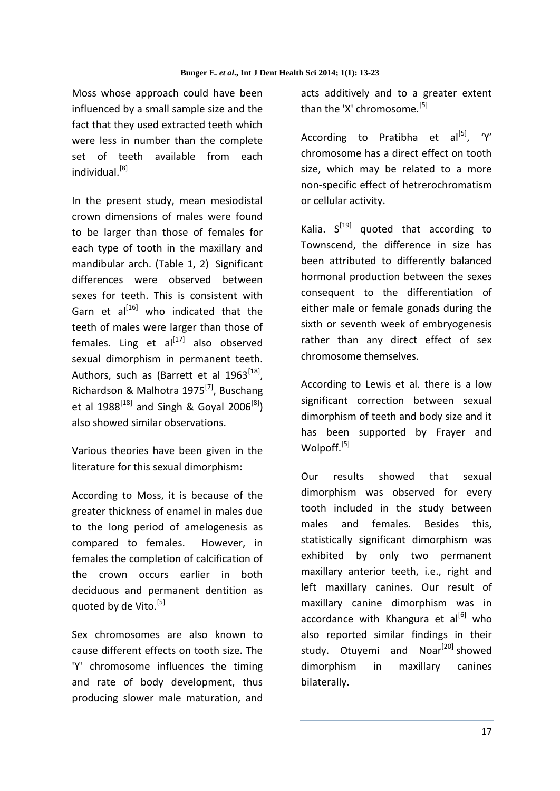Moss whose approach could have been influenced by a small sample size and the fact that they used extracted teeth which were less in number than the complete set of teeth available from each  $indivial<sup>[8]</sup>$ 

In the present study, mean mesiodistal crown dimensions of males were found to be larger than those of females for each type of tooth in the maxillary and mandibular arch. (Table 1, 2) Significant differences were observed between sexes for teeth. This is consistent with Garn et  $al^{[16]}$  who indicated that the teeth of males were larger than those of females. Ling et  $al^{[17]}$  also observed sexual dimorphism in permanent teeth. Authors, such as (Barrett et al 1963 $^{[18]}$ , Richardson & Malhotra 1975<sup>[7]</sup>, Buschang et al 1988<sup>[18]</sup> and Singh & Goyal 2006<sup>[8]</sup>) also showed similar observations.

Various theories have been given in the literature for this sexual dimorphism:

According to Moss, it is because of the greater thickness of enamel in males due to the long period of amelogenesis as compared to females. However, in females the completion of calcification of the crown occurs earlier in both deciduous and permanent dentition as quoted by de Vito.<sup>[5]</sup>

Sex chromosomes are also known to cause different effects on tooth size. The 'Y' chromosome influences the timing and rate of body development, thus producing slower male maturation, and acts additively and to a greater extent than the 'X' chromosome.<sup>[5]</sup>

According to Pratibha et  $al^{[5]}$ , 'Y' chromosome has a direct effect on tooth size, which may be related to a more non-specific effect of hetrerochromatism or cellular activity.

Kalia.  $S^{[19]}$  quoted that according to Townscend, the difference in size has been attributed to differently balanced hormonal production between the sexes consequent to the differentiation of either male or female gonads during the sixth or seventh week of embryogenesis rather than any direct effect of sex chromosome themselves.

According to Lewis et al. there is a low significant correction between sexual dimorphism of teeth and body size and it has been supported by Frayer and Wolpoff.<sup>[5]</sup>

Our results showed that sexual dimorphism was observed for every tooth included in the study between males and females. Besides this, statistically significant dimorphism was exhibited by only two permanent maxillary anterior teeth, i.e., right and left maxillary canines. Our result of maxillary canine dimorphism was in accordance with Khangura et al<sup>[6]</sup> who also reported similar findings in their study. Otuyemi and Noar<sup>[20]</sup> showed dimorphism in maxillary canines bilaterally.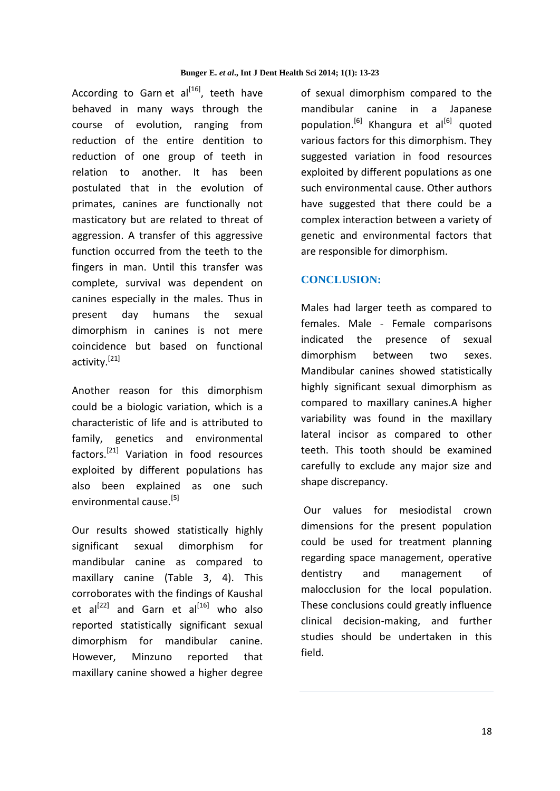According to Garn et  $al^{[16]}$ , teeth have behaved in many ways through the course of evolution, ranging from reduction of the entire dentition to reduction of one group of teeth in relation to another. It has been postulated that in the evolution of primates, canines are functionally not masticatory but are related to threat of aggression. A transfer of this aggressive function occurred from the teeth to the fingers in man. Until this transfer was complete, survival was dependent on canines especially in the males. Thus in present day humans the sexual dimorphism in canines is not mere coincidence but based on functional activity.[21]

Another reason for this dimorphism could be a biologic variation, which is a characteristic of life and is attributed to family, genetics and environmental factors.[21] Variation in food resources exploited by different populations has also been explained as one such environmental cause.[5]

Our results showed statistically highly significant sexual dimorphism for mandibular canine as compared to maxillary canine (Table 3, 4). This corroborates with the findings of Kaushal et al $^{[22]}$  and Garn et al $^{[16]}$  who also reported statistically significant sexual dimorphism for mandibular canine. However, Minzuno reported that maxillary canine showed a higher degree

of sexual dimorphism compared to the mandibular canine in a Japanese population.<sup>[6]</sup> Khangura et al<sup>[6]</sup> quoted various factors for this dimorphism. They suggested variation in food resources exploited by different populations as one such environmental cause. Other authors have suggested that there could be a complex interaction between a variety of genetic and environmental factors that are responsible for dimorphism.

## **CONCLUSION:**

Males had larger teeth as compared to females. Male - Female comparisons indicated the presence of sexual dimorphism between two sexes. Mandibular canines showed statistically highly significant sexual dimorphism as compared to maxillary canines.A higher variability was found in the maxillary lateral incisor as compared to other teeth. This tooth should be examined carefully to exclude any major size and shape discrepancy.

 Our values for mesiodistal crown dimensions for the present population could be used for treatment planning regarding space management, operative dentistry and management of malocclusion for the local population. These conclusions could greatly influence clinical decision-making, and further studies should be undertaken in this field.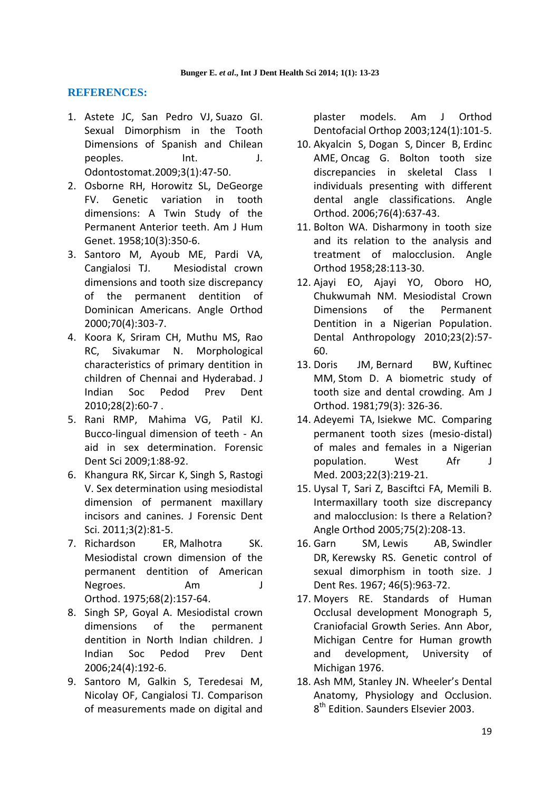## **REFERENCES:**

- 1. Astete JC, San Pedro VJ, Suazo GI. Sexual Dimorphism in the Tooth Dimensions of Spanish and Chilean peoples. Int. J. Odontostomat.2009;3(1):47-50.
- 2. Osborne RH, Horowitz SL, DeGeorge FV. Genetic variation in tooth dimensions: A Twin Study of the Permanent Anterior teeth. Am J Hum Genet. 1958;10(3):350-6.
- 3. [Santoro M,](http://www.ncbi.nlm.nih.gov/pubmed?term=%22Santoro%20M%22%5BAuthor%5D) [Ayoub ME,](http://www.ncbi.nlm.nih.gov/pubmed?term=%22Ayoub%20ME%22%5BAuthor%5D) Pardi VA, Cangialosi TJ. Mesiodistal crown dimensions and tooth size discrepancy of the permanent dentition of Dominican Americans. Angle Orthod 2000;70(4):303-7.
- 4. Koora K, Sriram CH, Muthu MS, Rao RC, Sivakumar N. Morphological characteristics of primary dentition in children of Chennai and Hyderabad. J Indian Soc Pedod Prev Dent 2010;28(2):60-7 .
- 5. [Rani](http://www.jfds.org/searchresult.asp?search=&author=RM+Prathibha+Rani&journal=Y&but_search=Search&entries=10&pg=1&s=0) RMP, [Mahima](http://www.jfds.org/searchresult.asp?search=&author=VG+Mahima&journal=Y&but_search=Search&entries=10&pg=1&s=0) VG, [Patil](http://www.jfds.org/searchresult.asp?search=&author=Karthikeya+Patil&journal=Y&but_search=Search&entries=10&pg=1&s=0) KJ. Bucco-lingual dimension of teeth - An aid in sex determination. Forensic Dent Sci 2009;1:88-92.
- 6. [Khangura RK,](http://www.ncbi.nlm.nih.gov/pubmed?term=Khangura%20RK%5BAuthor%5D&cauthor=true&cauthor_uid=22408326) [Sircar K,](http://www.ncbi.nlm.nih.gov/pubmed?term=Sircar%20K%5BAuthor%5D&cauthor=true&cauthor_uid=22408326) [Singh S,](http://www.ncbi.nlm.nih.gov/pubmed?term=Singh%20S%5BAuthor%5D&cauthor=true&cauthor_uid=22408326) [Rastogi](http://www.ncbi.nlm.nih.gov/pubmed?term=Rastogi%20V%5BAuthor%5D&cauthor=true&cauthor_uid=22408326)  [V.](http://www.ncbi.nlm.nih.gov/pubmed?term=Rastogi%20V%5BAuthor%5D&cauthor=true&cauthor_uid=22408326) Sex determination using mesiodistal dimension of permanent maxillary incisors and canines. [J Forensic Dent](http://www.ncbi.nlm.nih.gov/pubmed/22408326)  [Sci.](http://www.ncbi.nlm.nih.gov/pubmed/22408326) 2011;3(2):81-5.
- 7. [Richardson ER,](http://www.ncbi.nlm.nih.gov/pubmed?term=Richardson%20ER%5BAuthor%5D&cauthor=true&cauthor_uid=1056704) [Malhotra SK.](http://www.ncbi.nlm.nih.gov/pubmed?term=Malhotra%20SK%5BAuthor%5D&cauthor=true&cauthor_uid=1056704) Mesiodistal crown dimension of the permanent dentition of American Negroes. [Am J](http://www.ncbi.nlm.nih.gov/pubmed/1056704)  [Orthod.](http://www.ncbi.nlm.nih.gov/pubmed/1056704) 1975;68(2):157-64.
- 8. Singh SP, Goyal A. Mesiodistal crown dimensions of the permanent dentition in North Indian children. J Indian Soc Pedod Prev Dent 2006;24(4):192-6.
- 9. Santoro M, Galkin S, Teredesai M, Nicolay OF, Cangialosi TJ. Comparison of measurements made on digital and

plaster models. Am J Orthod Dentofacial Orthop 2003;124(1):101-5.

- 10. [Akyalcin S,](http://www.ncbi.nlm.nih.gov/pubmed?term=Akyal%C3%A7in%20S%5BAuthor%5D&cauthor=true&cauthor_uid=16808571) [Dogan S,](http://www.ncbi.nlm.nih.gov/pubmed?term=Do%C4%9Fan%20S%5BAuthor%5D&cauthor=true&cauthor_uid=16808571) [Dincer B,](http://www.ncbi.nlm.nih.gov/pubmed?term=Din%C3%A7er%20B%5BAuthor%5D&cauthor=true&cauthor_uid=16808571) [Erdinc](http://www.ncbi.nlm.nih.gov/pubmed?term=Erdinc%20AM%5BAuthor%5D&cauthor=true&cauthor_uid=16808571)  [AME](http://www.ncbi.nlm.nih.gov/pubmed?term=Erdinc%20AM%5BAuthor%5D&cauthor=true&cauthor_uid=16808571), [Oncag G.](http://www.ncbi.nlm.nih.gov/pubmed?term=Onca%C4%9F%20G%5BAuthor%5D&cauthor=true&cauthor_uid=16808571) Bolton tooth size discrepancies in skeletal Class I individuals presenting with different dental angle classifications. [Angle](http://www.ncbi.nlm.nih.gov/pubmed/16808571)  [Orthod.](http://www.ncbi.nlm.nih.gov/pubmed/16808571) 2006;76(4):637-43.
- 11. Bolton WA. Disharmony in tooth size and its relation to the analysis and treatment of malocclusion. Angle Orthod 1958;28:113-30.
- 12. Ajayi EO, Ajayi YO, Oboro HO, Chukwumah NM. Mesiodistal Crown Dimensions of the Permanent Dentition in a Nigerian Population. Dental Anthropology 2010;23(2):57- 60.
- 13. [Doris JM,](http://www.ncbi.nlm.nih.gov/pubmed?term=Doris%20JM%5BAuthor%5D&cauthor=true&cauthor_uid=6938140) [Bernard BW,](http://www.ncbi.nlm.nih.gov/pubmed?term=Bernard%20BW%5BAuthor%5D&cauthor=true&cauthor_uid=6938140) [Kuftinec](http://www.ncbi.nlm.nih.gov/pubmed?term=Kuftinec%20MM%5BAuthor%5D&cauthor=true&cauthor_uid=6938140)  [MM,](http://www.ncbi.nlm.nih.gov/pubmed?term=Kuftinec%20MM%5BAuthor%5D&cauthor=true&cauthor_uid=6938140) [Stom D.](http://www.ncbi.nlm.nih.gov/pubmed?term=Stom%20D%5BAuthor%5D&cauthor=true&cauthor_uid=6938140) A biometric study of tooth size and dental crowding. [Am J](http://www.ncbi.nlm.nih.gov/pubmed/6938140)  [Orthod.](http://www.ncbi.nlm.nih.gov/pubmed/6938140) 1981;79(3): 326-36.
- 14. [Adeyemi TA,](http://www.ncbi.nlm.nih.gov/pubmed?term=Adeyemi%20TA%5BAuthor%5D&cauthor=true&cauthor_uid=14696944) [Isiekwe MC.](http://www.ncbi.nlm.nih.gov/pubmed?term=Isiekwe%20MC%5BAuthor%5D&cauthor=true&cauthor_uid=14696944) Comparing permanent tooth sizes (mesio-distal) of males and females in a Nigerian population. [West Afr J](http://www.ncbi.nlm.nih.gov/pubmed/14696944)  [Med.](http://www.ncbi.nlm.nih.gov/pubmed/14696944) 2003;22(3):219-21.
- 15. Uysal T, Sari Z, Basciftci FA, Memili B. Intermaxillary tooth size discrepancy and malocclusion: Is there a Relation? Angle Orthod 2005;75(2):208-13.
- 16. [Garn SM,](http://www.ncbi.nlm.nih.gov/pubmed?term=Garn%20SM%5BAuthor%5D&cauthor=true&cauthor_uid=5234039) [Lewis AB,](http://www.ncbi.nlm.nih.gov/pubmed?term=Lewis%20AB%5BAuthor%5D&cauthor=true&cauthor_uid=5234039) [Swindler](http://www.ncbi.nlm.nih.gov/pubmed?term=Swindler%20DR%5BAuthor%5D&cauthor=true&cauthor_uid=5234039)  [DR,](http://www.ncbi.nlm.nih.gov/pubmed?term=Swindler%20DR%5BAuthor%5D&cauthor=true&cauthor_uid=5234039) [Kerewsky RS.](http://www.ncbi.nlm.nih.gov/pubmed?term=Kerewsky%20RS%5BAuthor%5D&cauthor=true&cauthor_uid=5234039) Genetic control of sexual dimorphism in tooth size. [J](http://www.ncbi.nlm.nih.gov/pubmed/5234039)  [Dent Res.](http://www.ncbi.nlm.nih.gov/pubmed/5234039) 1967; 46(5):963-72.
- 17. Moyers RE. Standards of Human Occlusal development Monograph 5, Craniofacial Growth Series. Ann Abor, Michigan Centre for Human growth and development, University of Michigan 1976.
- 18. Ash MM, Stanley JN. Wheeler's Dental Anatomy, Physiology and Occlusion. 8<sup>th</sup> Edition. Saunders Elsevier 2003.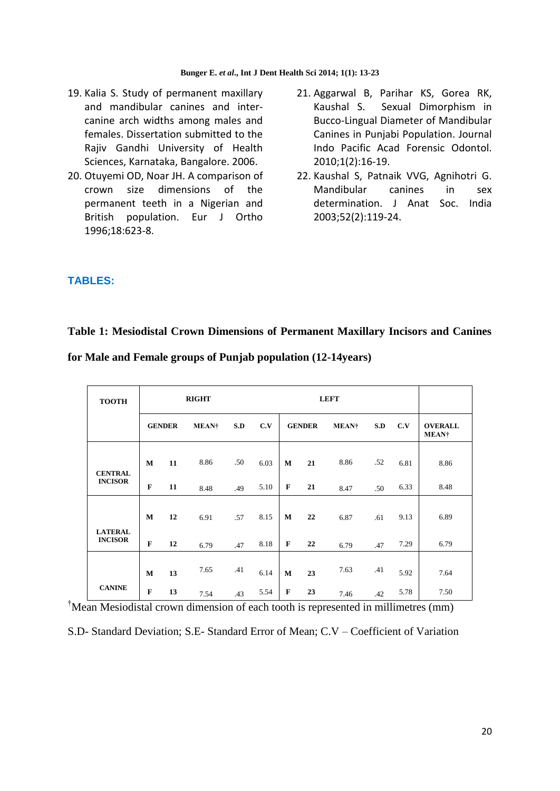- 19. Kalia S. Study of permanent maxillary and mandibular canines and intercanine arch widths among males and females. Dissertation submitted to the Rajiv Gandhi University of Health Sciences, Karnataka, Bangalore. 2006.
- 20. Otuyemi OD, Noar JH. A comparison of crown size dimensions of the permanent teeth in a Nigerian and British population. Eur J Ortho 1996;18:623-8.
- 21. Aggarwal B, Parihar KS, Gorea RK, Kaushal S. Sexual Dimorphism in Bucco-Lingual Diameter of Mandibular Canines in Punjabi Population. Journal Indo Pacific Acad Forensic Odontol. 2010;1(2):16-19.
- 22. Kaushal S, Patnaik VVG, Agnihotri G. Mandibular canines in sex determination. J Anat Soc. India 2003;52(2):119-24.

### **TABLES:**

## **Table 1: Mesiodistal Crown Dimensions of Permanent Maxillary Incisors and Canines**

| for Male and Female groups of Punjab population (12-14years) |
|--------------------------------------------------------------|
|--------------------------------------------------------------|

| <b>TOOTH</b>   | <b>RIGHT</b> |               |               |     |      | <b>LEFT</b>  |               |               |     |      |                                |
|----------------|--------------|---------------|---------------|-----|------|--------------|---------------|---------------|-----|------|--------------------------------|
|                |              | <b>GENDER</b> | <b>MEAN</b> † | S.D | C.V  |              | <b>GENDER</b> | <b>MEAN</b> † | S.D | C.V  | <b>OVERALL</b><br><b>MEAN†</b> |
| <b>CENTRAL</b> | $\mathbf{M}$ | 11            | 8.86          | .50 | 6.03 | $\mathbf{M}$ | 21            | 8.86          | .52 | 6.81 | 8.86                           |
| <b>INCISOR</b> | $\mathbf{F}$ | 11            | 8.48          | .49 | 5.10 | $\mathbf{F}$ | 21            | 8.47          | .50 | 6.33 | 8.48                           |
| <b>LATERAL</b> | M            | 12            | 6.91          | .57 | 8.15 | M            | 22            | 6.87          | .61 | 9.13 | 6.89                           |
| <b>INCISOR</b> | $\mathbf F$  | 12            | 6.79          | .47 | 8.18 | $\bf{F}$     | 22            | 6.79          | .47 | 7.29 | 6.79                           |
|                | $\mathbf{M}$ | 13            | 7.65          | .41 | 6.14 | $\mathbf{M}$ | 23            | 7.63          | .41 | 5.92 | 7.64                           |
| <b>CANINE</b>  | $\mathbf{F}$ | 13            | 7.54          | .43 | 5.54 | $\mathbf{F}$ | 23            | 7.46          | .42 | 5.78 | 7.50                           |

†Mean Mesiodistal crown dimension of each tooth is represented in millimetres (mm)

S.D- Standard Deviation; S.E- Standard Error of Mean; C.V – Coefficient of Variation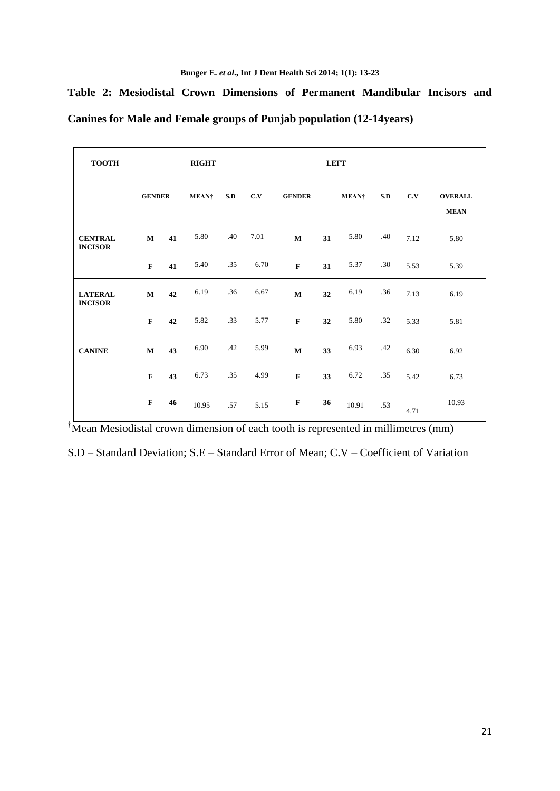|  |  |                                                                       |  | Table 2: Mesiodistal Crown Dimensions of Permanent Mandibular Incisors and |  |
|--|--|-----------------------------------------------------------------------|--|----------------------------------------------------------------------------|--|
|  |  | Canines for Male and Female groups of Punjab population (12-14 years) |  |                                                                            |  |

| <b>TOOTH</b>                     | <b>RIGHT</b>  |    |                   |     |      | <b>LEFT</b>   |    |                   |     |      |                               |
|----------------------------------|---------------|----|-------------------|-----|------|---------------|----|-------------------|-----|------|-------------------------------|
|                                  | <b>GENDER</b> |    | MEAN <sup>†</sup> | S.D | C.V  | <b>GENDER</b> |    | MEAN <sup>+</sup> | S.D | C.V  | <b>OVERALL</b><br><b>MEAN</b> |
| <b>CENTRAL</b><br><b>INCISOR</b> | M             | 41 | 5.80              | .40 | 7.01 | $\mathbf M$   | 31 | 5.80              | .40 | 7.12 | 5.80                          |
|                                  | $\mathbf F$   | 41 | 5.40              | .35 | 6.70 | $\mathbf{F}$  | 31 | 5.37              | .30 | 5.53 | 5.39                          |
| <b>LATERAL</b><br><b>INCISOR</b> | $\bf M$       | 42 | 6.19              | .36 | 6.67 | $\mathbf M$   | 32 | 6.19              | .36 | 7.13 | 6.19                          |
|                                  | $\mathbf F$   | 42 | 5.82              | .33 | 5.77 | $\mathbf F$   | 32 | 5.80              | .32 | 5.33 | 5.81                          |
| <b>CANINE</b>                    | $\bf M$       | 43 | 6.90              | .42 | 5.99 | $\mathbf M$   | 33 | 6.93              | .42 | 6.30 | 6.92                          |
|                                  | $\mathbf F$   | 43 | 6.73              | .35 | 4.99 | $\mathbf F$   | 33 | 6.72              | .35 | 5.42 | 6.73                          |
|                                  | $\mathbf F$   | 46 | 10.95             | .57 | 5.15 | $\mathbf{F}$  | 36 | 10.91             | .53 | 4.71 | 10.93                         |

<sup>†</sup>Mean Mesiodistal crown dimension of each tooth is represented in millimetres (mm)

S.D – Standard Deviation; S.E – Standard Error of Mean; C.V – Coefficient of Variation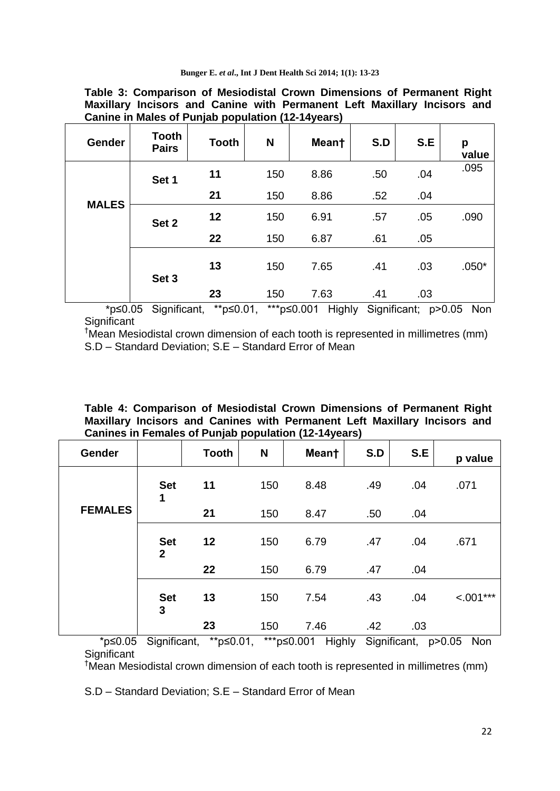|                                                   | Table 3: Comparison of Mesiodistal Crown Dimensions of Permanent Right   |
|---------------------------------------------------|--------------------------------------------------------------------------|
|                                                   | Maxillary Incisors and Canine with Permanent Left Maxillary Incisors and |
| Canine in Males of Punjab population (12-14years) |                                                                          |

| Gender       | <b>Tooth</b><br><b>Pairs</b> | <b>Tooth</b> | N   | Meant | S.D | S.E | p<br>value |
|--------------|------------------------------|--------------|-----|-------|-----|-----|------------|
|              | Set 1                        | 11           | 150 | 8.86  | .50 | .04 | .095       |
| <b>MALES</b> |                              | 21           | 150 | 8.86  | .52 | .04 |            |
|              | Set 2                        | 12           | 150 | 6.91  | .57 | .05 | .090       |
|              |                              | 22           | 150 | 6.87  | .61 | .05 |            |
|              | Set 3                        | 13           | 150 | 7.65  | .41 | .03 | $.050*$    |
|              | $ -$                         | 23           | 150 | 7.63  | .41 | .03 |            |

 \*p≤0.05 Significant, \*\*p≤0.01, \*\*\*p≤0.001 Highly Significant; p>0.05 Non **Significant** 

†Mean Mesiodistal crown dimension of each tooth is represented in millimetres (mm) S.D – Standard Deviation; S.E – Standard Error of Mean

**Table 4: Comparison of Mesiodistal Crown Dimensions of Permanent Right Maxillary Incisors and Canines with Permanent Left Maxillary Incisors and Canines in Females of Punjab population (12-14years)** 

| Gender         |                              | <b>Tooth</b> | N   | Meant | S.D | S.E | p value        |
|----------------|------------------------------|--------------|-----|-------|-----|-----|----------------|
|                | <b>Set</b><br>1              | 11           | 150 | 8.48  | .49 | .04 | .071           |
| <b>FEMALES</b> |                              | 21           | 150 | 8.47  | .50 | .04 |                |
|                | <b>Set</b><br>$\overline{2}$ | 12           | 150 | 6.79  | .47 | .04 | .671           |
|                |                              | 22           | 150 | 6.79  | .47 | .04 |                |
|                | <b>Set</b><br>3              | 13           | 150 | 7.54  | .43 | .04 | $\leq 0.01***$ |
|                |                              | 23           | 150 | 7.46  | .42 | .03 |                |

 \*p≤0.05 Significant, \*\*p≤0.01, \*\*\*p≤0.001 Highly Significant, p>0.05 Non **Significant** 

†Mean Mesiodistal crown dimension of each tooth is represented in millimetres (mm)

S.D – Standard Deviation; S.E – Standard Error of Mean